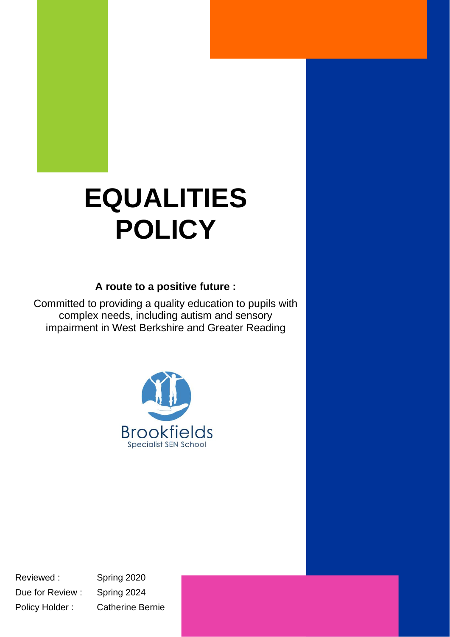# **EQUALITIES POLICY**

# **A route to a positive future :**

Committed to providing a quality education to pupils with complex needs, including autism and sensory impairment in West Berkshire and Greater Reading



Reviewed : Spring 2020 Due for Review : Spring 2024 Policy Holder : Catherine Bernie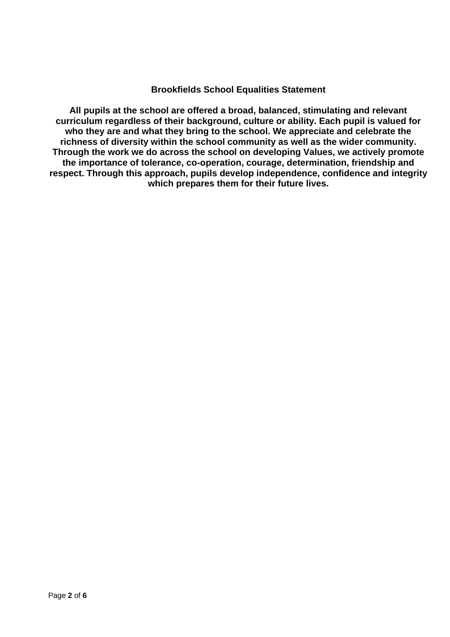# **Brookfields School Equalities Statement**

**All pupils at the school are offered a broad, balanced, stimulating and relevant curriculum regardless of their background, culture or ability. Each pupil is valued for who they are and what they bring to the school. We appreciate and celebrate the richness of diversity within the school community as well as the wider community. Through the work we do across the school on developing Values, we actively promote the importance of tolerance, co-operation, courage, determination, friendship and respect. Through this approach, pupils develop independence, confidence and integrity which prepares them for their future lives.**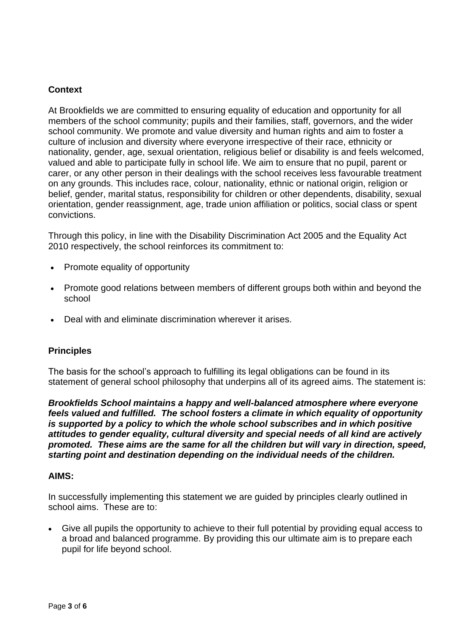# **Context**

At Brookfields we are committed to ensuring equality of education and opportunity for all members of the school community; pupils and their families, staff, governors, and the wider school community. We promote and value diversity and human rights and aim to foster a culture of inclusion and diversity where everyone irrespective of their race, ethnicity or nationality, gender, age, sexual orientation, religious belief or disability is and feels welcomed, valued and able to participate fully in school life. We aim to ensure that no pupil, parent or carer, or any other person in their dealings with the school receives less favourable treatment on any grounds. This includes race, colour, nationality, ethnic or national origin, religion or belief, gender, marital status, responsibility for children or other dependents, disability, sexual orientation, gender reassignment, age, trade union affiliation or politics, social class or spent convictions.

Through this policy, in line with the Disability Discrimination Act 2005 and the Equality Act 2010 respectively, the school reinforces its commitment to:

- Promote equality of opportunity
- Promote good relations between members of different groups both within and beyond the school
- Deal with and eliminate discrimination wherever it arises.

# **Principles**

The basis for the school's approach to fulfilling its legal obligations can be found in its statement of general school philosophy that underpins all of its agreed aims. The statement is:

*Brookfields School maintains a happy and well-balanced atmosphere where everyone feels valued and fulfilled. The school fosters a climate in which equality of opportunity is supported by a policy to which the whole school subscribes and in which positive attitudes to gender equality, cultural diversity and special needs of all kind are actively promoted. These aims are the same for all the children but will vary in direction, speed, starting point and destination depending on the individual needs of the children.*

# **AIMS:**

In successfully implementing this statement we are guided by principles clearly outlined in school aims. These are to:

• Give all pupils the opportunity to achieve to their full potential by providing equal access to a broad and balanced programme. By providing this our ultimate aim is to prepare each pupil for life beyond school.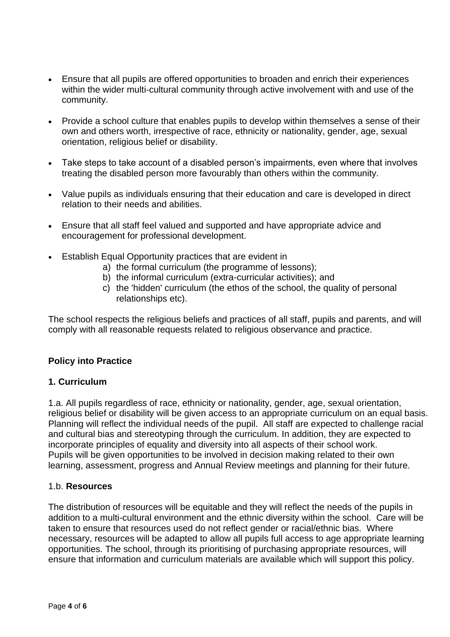- Ensure that all pupils are offered opportunities to broaden and enrich their experiences within the wider multi-cultural community through active involvement with and use of the community.
- Provide a school culture that enables pupils to develop within themselves a sense of their own and others worth, irrespective of race, ethnicity or nationality, gender, age, sexual orientation, religious belief or disability.
- Take steps to take account of a disabled person's impairments, even where that involves treating the disabled person more favourably than others within the community.
- Value pupils as individuals ensuring that their education and care is developed in direct relation to their needs and abilities.
- Ensure that all staff feel valued and supported and have appropriate advice and encouragement for professional development.
- Establish Equal Opportunity practices that are evident in
	- a) the formal curriculum (the programme of lessons);
	- b) the informal curriculum (extra-curricular activities); and
	- c) the 'hidden' curriculum (the ethos of the school, the quality of personal relationships etc).

The school respects the religious beliefs and practices of all staff, pupils and parents, and will comply with all reasonable requests related to religious observance and practice.

# **Policy into Practice**

# **1. Curriculum**

1.a. All pupils regardless of race, ethnicity or nationality, gender, age, sexual orientation, religious belief or disability will be given access to an appropriate curriculum on an equal basis. Planning will reflect the individual needs of the pupil.All staff are expected to challenge racial and cultural bias and stereotyping through the curriculum. In addition, they are expected to incorporate principles of equality and diversity into all aspects of their school work. Pupils will be given opportunities to be involved in decision making related to their own learning, assessment, progress and Annual Review meetings and planning for their future.

# 1.b. **Resources**

The distribution of resources will be equitable and they will reflect the needs of the pupils in addition to a multi-cultural environment and the ethnic diversity within the school. Care will be taken to ensure that resources used do not reflect gender or racial/ethnic bias. Where necessary, resources will be adapted to allow all pupils full access to age appropriate learning opportunities. The school, through its prioritising of purchasing appropriate resources, will ensure that information and curriculum materials are available which will support this policy.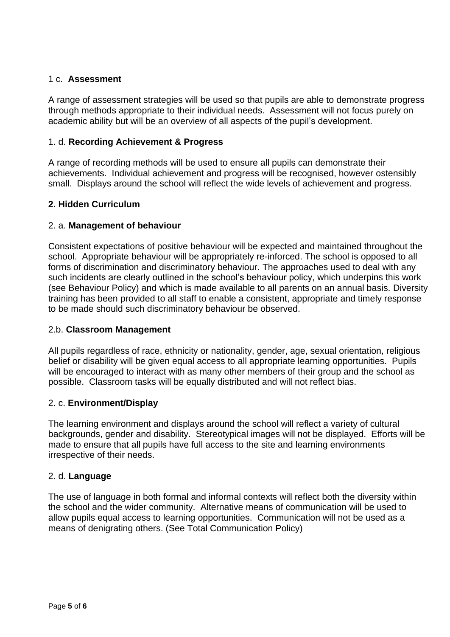# 1 c. **Assessment**

A range of assessment strategies will be used so that pupils are able to demonstrate progress through methods appropriate to their individual needs. Assessment will not focus purely on academic ability but will be an overview of all aspects of the pupil's development.

# 1. d. **Recording Achievement & Progress**

A range of recording methods will be used to ensure all pupils can demonstrate their achievements. Individual achievement and progress will be recognised, however ostensibly small. Displays around the school will reflect the wide levels of achievement and progress.

# **2. Hidden Curriculum**

# 2. a. **Management of behaviour**

Consistent expectations of positive behaviour will be expected and maintained throughout the school. Appropriate behaviour will be appropriately re-inforced. The school is opposed to all forms of discrimination and discriminatory behaviour. The approaches used to deal with any such incidents are clearly outlined in the school's behaviour policy, which underpins this work (see Behaviour Policy) and which is made available to all parents on an annual basis. Diversity training has been provided to all staff to enable a consistent, appropriate and timely response to be made should such discriminatory behaviour be observed.

# 2.b. **Classroom Management**

All pupils regardless of race, ethnicity or nationality, gender, age, sexual orientation, religious belief or disability will be given equal access to all appropriate learning opportunities. Pupils will be encouraged to interact with as many other members of their group and the school as possible. Classroom tasks will be equally distributed and will not reflect bias.

# 2. c. **Environment/Display**

The learning environment and displays around the school will reflect a variety of cultural backgrounds, gender and disability. Stereotypical images will not be displayed. Efforts will be made to ensure that all pupils have full access to the site and learning environments irrespective of their needs.

# 2. d. **Language**

The use of language in both formal and informal contexts will reflect both the diversity within the school and the wider community. Alternative means of communication will be used to allow pupils equal access to learning opportunities. Communication will not be used as a means of denigrating others. (See Total Communication Policy)